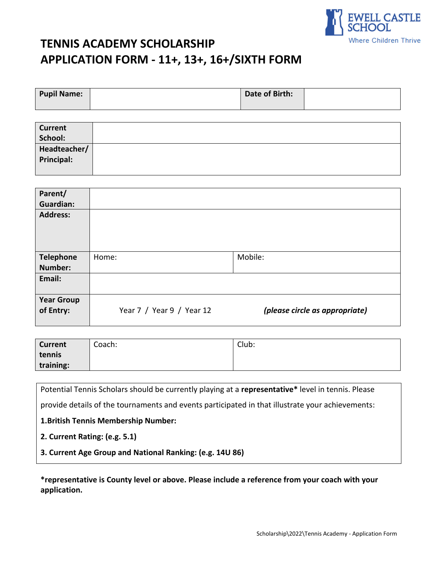

# **TENNIS ACADEMY SCHOLARSHIP APPLICATION FORM - 11+, 13+, 16+/SIXTH FORM**

| Pupil Name: | Date of Birth: |  |
|-------------|----------------|--|
|             |                |  |

| <b>Current</b> |  |
|----------------|--|
| School:        |  |
| Headteacher/   |  |
| Principal:     |  |
|                |  |

| Parent/<br><b>Guardian:</b>    |                           |                                |
|--------------------------------|---------------------------|--------------------------------|
| <b>Address:</b>                |                           |                                |
| <b>Telephone</b><br>Number:    | Home:                     | Mobile:                        |
| Email:                         |                           |                                |
| <b>Year Group</b><br>of Entry: | Year 7 / Year 9 / Year 12 | (please circle as appropriate) |

| <b>Current</b> | Coach: | Club: |
|----------------|--------|-------|
| tennis         |        |       |
| training:      |        |       |

Potential Tennis Scholars should be currently playing at a **representative\*** level in tennis. Please

provide details of the tournaments and events participated in that illustrate your achievements:

**1.British Tennis Membership Number:**

**2. Current Rating: (e.g. 5.1)**

**3. Current Age Group and National Ranking: (e.g. 14U 86)**

**\*representative is County level or above. Please include a reference from your coach with your application.**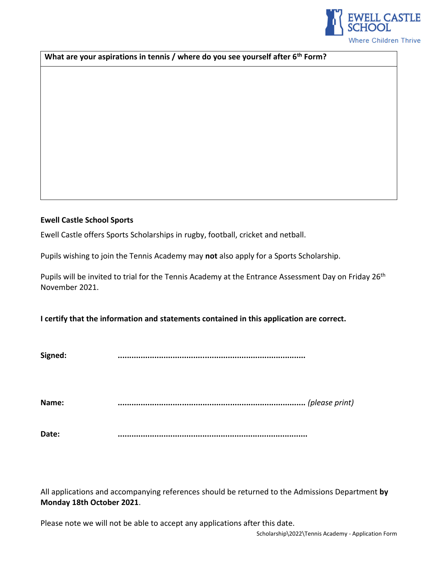

**What are your aspirations in tennis / where do you see yourself after 6th Form?** 

## **Ewell Castle School Sports**

Ewell Castle offers Sports Scholarships in rugby, football, cricket and netball.

Pupils wishing to join the Tennis Academy may **not** also apply for a Sports Scholarship.

Pupils will be invited to trial for the Tennis Academy at the Entrance Assessment Day on Friday 26<sup>th</sup> November 2021.

**I certify that the information and statements contained in this application are correct.**

**Signed: ..................................................................................** 

**Name: ..................................................................................** *(please print)*

**Date: ...................................................................................**

All applications and accompanying references should be returned to the Admissions Department **by Monday 18th October 2021**.

Please note we will not be able to accept any applications after this date.

Scholarship\2022\Tennis Academy - Application Form